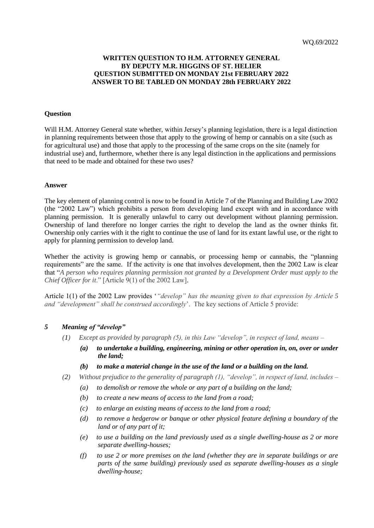## **WRITTEN QUESTION TO H.M. ATTORNEY GENERAL BY DEPUTY M.R. HIGGINS OF ST. HELIER QUESTION SUBMITTED ON MONDAY 21st FEBRUARY 2022 ANSWER TO BE TABLED ON MONDAY 28th FEBRUARY 2022**

## **Question**

Will H.M. Attorney General state whether, within Jersey's planning legislation, there is a legal distinction in planning requirements between those that apply to the growing of hemp or cannabis on a site (such as for agricultural use) and those that apply to the processing of the same crops on the site (namely for industrial use) and, furthermore, whether there is any legal distinction in the applications and permissions that need to be made and obtained for these two uses?

## **Answer**

The key element of planning control is now to be found in Article 7 of the Planning and Building Law 2002 (the "2002 Law") which prohibits a person from developing land except with and in accordance with planning permission. It is generally unlawful to carry out development without planning permission. Ownership of land therefore no longer carries the right to develop the land as the owner thinks fit. Ownership only carries with it the right to continue the use of land for its extant lawful use, or the right to apply for planning permission to develop land.

Whether the activity is growing hemp or cannabis, or processing hemp or cannabis, the "planning requirements" are the same. If the activity is one that involves development, then the 2002 Law is clear that "*A person who requires planning permission not granted by a Development Order must apply to the Chief Officer for it*." [Article 9(1) of the 2002 Law].

Article 1(1) of the 2002 Law provides '*"develop" has the meaning given to that expression by Article 5 and "development" shall be construed accordingly*'. The key sections of Article 5 provide:

## *5 Meaning of "develop"*

- *(1) Except as provided by paragraph (5), in this Law "develop", in respect of land, means –*
	- *(a) to undertake a building, engineering, mining or other operation in, on, over or under the land;*
	- *(b) to make a material change in the use of the land or a building on the land.*
- *(2) Without prejudice to the generality of paragraph (1), "develop", in respect of land, includes –*
	- *(a) to demolish or remove the whole or any part of a building on the land;*
	- *(b) to create a new means of access to the land from a road;*
	- *(c) to enlarge an existing means of access to the land from a road;*
	- *(d) to remove a hedgerow or banque or other physical feature defining a boundary of the land or of any part of it;*
	- *(e) to use a building on the land previously used as a single dwelling-house as 2 or more separate dwelling-houses;*
	- *(f) to use 2 or more premises on the land (whether they are in separate buildings or are parts of the same building) previously used as separate dwelling-houses as a single dwelling-house;*